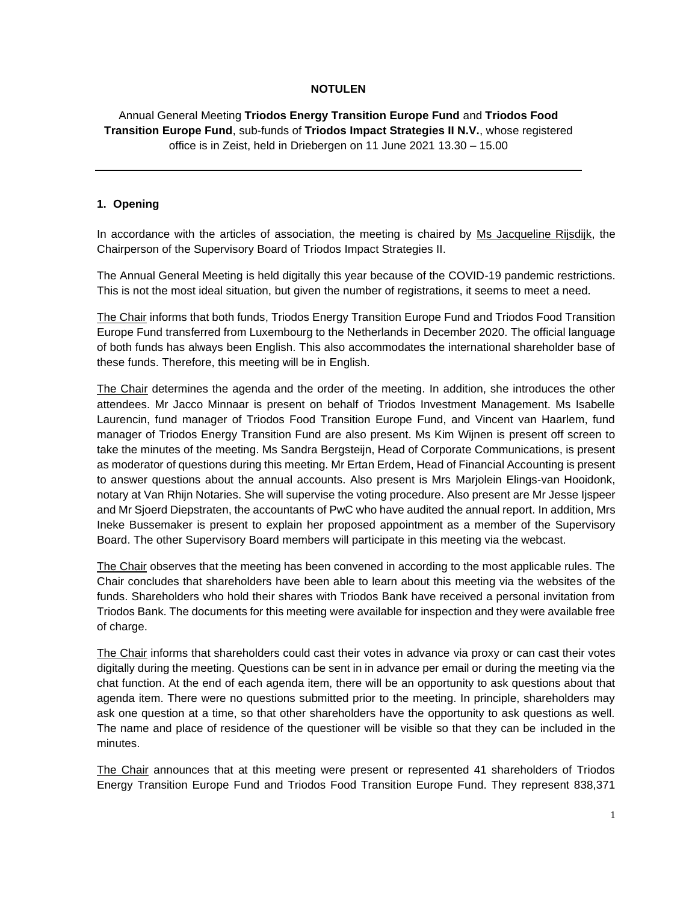## **NOTULEN**

# Annual General Meeting **Triodos Energy Transition Europe Fund** and **Triodos Food Transition Europe Fund**, sub-funds of **Triodos Impact Strategies II N.V.**, whose registered office is in Zeist, held in Driebergen on 11 June 2021 13.30 – 15.00

#### **1. Opening**

In accordance with the articles of association, the meeting is chaired by Ms Jacqueline Rijsdijk, the Chairperson of the Supervisory Board of Triodos Impact Strategies II.

The Annual General Meeting is held digitally this year because of the COVID-19 pandemic restrictions. This is not the most ideal situation, but given the number of registrations, it seems to meet a need.

The Chair informs that both funds, Triodos Energy Transition Europe Fund and Triodos Food Transition Europe Fund transferred from Luxembourg to the Netherlands in December 2020. The official language of both funds has always been English. This also accommodates the international shareholder base of these funds. Therefore, this meeting will be in English.

The Chair determines the agenda and the order of the meeting. In addition, she introduces the other attendees. Mr Jacco Minnaar is present on behalf of Triodos Investment Management. Ms Isabelle Laurencin, fund manager of Triodos Food Transition Europe Fund, and Vincent van Haarlem, fund manager of Triodos Energy Transition Fund are also present. Ms Kim Wijnen is present off screen to take the minutes of the meeting. Ms Sandra Bergsteijn, Head of Corporate Communications, is present as moderator of questions during this meeting. Mr Ertan Erdem, Head of Financial Accounting is present to answer questions about the annual accounts. Also present is Mrs Marjolein Elings-van Hooidonk, notary at Van Rhijn Notaries. She will supervise the voting procedure. Also present are Mr Jesse Ijspeer and Mr Sjoerd Diepstraten, the accountants of PwC who have audited the annual report. In addition, Mrs Ineke Bussemaker is present to explain her proposed appointment as a member of the Supervisory Board. The other Supervisory Board members will participate in this meeting via the webcast.

The Chair observes that the meeting has been convened in according to the most applicable rules. The Chair concludes that shareholders have been able to learn about this meeting via the websites of the funds. Shareholders who hold their shares with Triodos Bank have received a personal invitation from Triodos Bank. The documents for this meeting were available for inspection and they were available free of charge.

The Chair informs that shareholders could cast their votes in advance via proxy or can cast their votes digitally during the meeting. Questions can be sent in in advance per email or during the meeting via the chat function. At the end of each agenda item, there will be an opportunity to ask questions about that agenda item. There were no questions submitted prior to the meeting. In principle, shareholders may ask one question at a time, so that other shareholders have the opportunity to ask questions as well. The name and place of residence of the questioner will be visible so that they can be included in the minutes.

The Chair announces that at this meeting were present or represented 41 shareholders of Triodos Energy Transition Europe Fund and Triodos Food Transition Europe Fund. They represent 838,371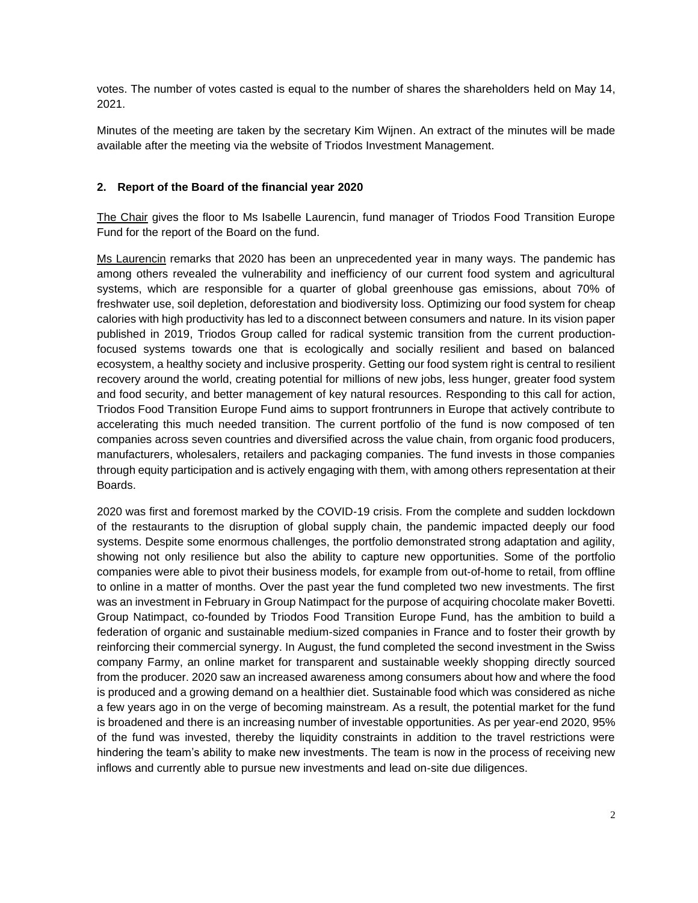votes. The number of votes casted is equal to the number of shares the shareholders held on May 14, 2021.

Minutes of the meeting are taken by the secretary Kim Wijnen. An extract of the minutes will be made available after the meeting via the website of Triodos Investment Management.

#### **2. Report of the Board of the financial year 2020**

The Chair gives the floor to Ms Isabelle Laurencin, fund manager of Triodos Food Transition Europe Fund for the report of the Board on the fund.

Ms Laurencin remarks that 2020 has been an unprecedented year in many ways. The pandemic has among others revealed the vulnerability and inefficiency of our current food system and agricultural systems, which are responsible for a quarter of global greenhouse gas emissions, about 70% of freshwater use, soil depletion, deforestation and biodiversity loss. Optimizing our food system for cheap calories with high productivity has led to a disconnect between consumers and nature. In its vision paper published in 2019, Triodos Group called for radical systemic transition from the current productionfocused systems towards one that is ecologically and socially resilient and based on balanced ecosystem, a healthy society and inclusive prosperity. Getting our food system right is central to resilient recovery around the world, creating potential for millions of new jobs, less hunger, greater food system and food security, and better management of key natural resources. Responding to this call for action, Triodos Food Transition Europe Fund aims to support frontrunners in Europe that actively contribute to accelerating this much needed transition. The current portfolio of the fund is now composed of ten companies across seven countries and diversified across the value chain, from organic food producers, manufacturers, wholesalers, retailers and packaging companies. The fund invests in those companies through equity participation and is actively engaging with them, with among others representation at their Boards.

2020 was first and foremost marked by the COVID-19 crisis. From the complete and sudden lockdown of the restaurants to the disruption of global supply chain, the pandemic impacted deeply our food systems. Despite some enormous challenges, the portfolio demonstrated strong adaptation and agility, showing not only resilience but also the ability to capture new opportunities. Some of the portfolio companies were able to pivot their business models, for example from out-of-home to retail, from offline to online in a matter of months. Over the past year the fund completed two new investments. The first was an investment in February in Group Natimpact for the purpose of acquiring chocolate maker Bovetti. Group Natimpact, co-founded by Triodos Food Transition Europe Fund, has the ambition to build a federation of organic and sustainable medium-sized companies in France and to foster their growth by reinforcing their commercial synergy. In August, the fund completed the second investment in the Swiss company Farmy, an online market for transparent and sustainable weekly shopping directly sourced from the producer. 2020 saw an increased awareness among consumers about how and where the food is produced and a growing demand on a healthier diet. Sustainable food which was considered as niche a few years ago in on the verge of becoming mainstream. As a result, the potential market for the fund is broadened and there is an increasing number of investable opportunities. As per year-end 2020, 95% of the fund was invested, thereby the liquidity constraints in addition to the travel restrictions were hindering the team's ability to make new investments. The team is now in the process of receiving new inflows and currently able to pursue new investments and lead on-site due diligences.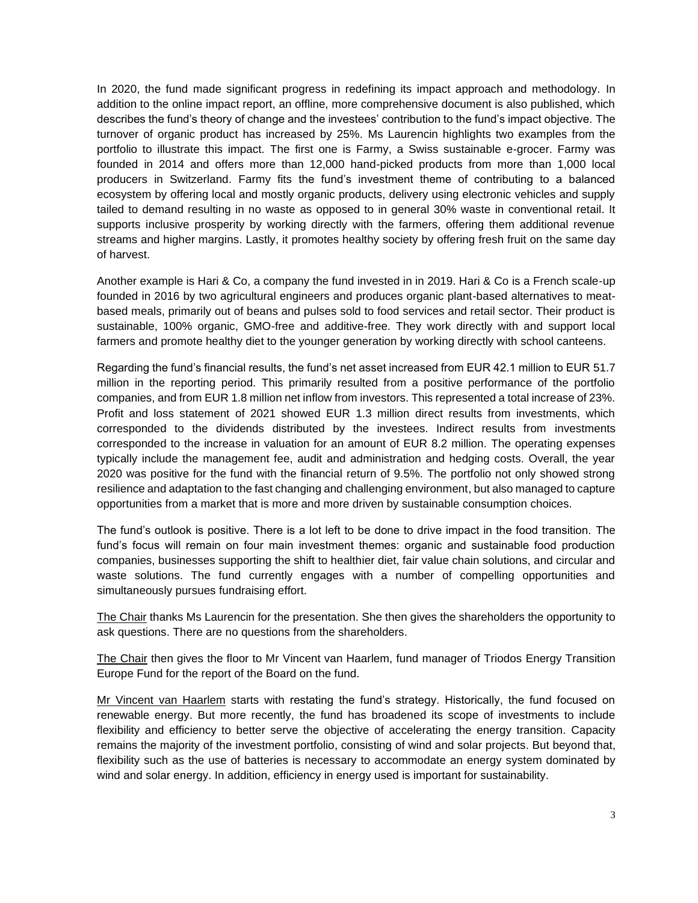In 2020, the fund made significant progress in redefining its impact approach and methodology. In addition to the online impact report, an offline, more comprehensive document is also published, which describes the fund's theory of change and the investees' contribution to the fund's impact objective. The turnover of organic product has increased by 25%. Ms Laurencin highlights two examples from the portfolio to illustrate this impact. The first one is Farmy, a Swiss sustainable e-grocer. Farmy was founded in 2014 and offers more than 12,000 hand-picked products from more than 1,000 local producers in Switzerland. Farmy fits the fund's investment theme of contributing to a balanced ecosystem by offering local and mostly organic products, delivery using electronic vehicles and supply tailed to demand resulting in no waste as opposed to in general 30% waste in conventional retail. It supports inclusive prosperity by working directly with the farmers, offering them additional revenue streams and higher margins. Lastly, it promotes healthy society by offering fresh fruit on the same day of harvest.

Another example is Hari & Co, a company the fund invested in in 2019. Hari & Co is a French scale-up founded in 2016 by two agricultural engineers and produces organic plant-based alternatives to meatbased meals, primarily out of beans and pulses sold to food services and retail sector. Their product is sustainable, 100% organic, GMO-free and additive-free. They work directly with and support local farmers and promote healthy diet to the younger generation by working directly with school canteens.

Regarding the fund's financial results, the fund's net asset increased from EUR 42.1 million to EUR 51.7 million in the reporting period. This primarily resulted from a positive performance of the portfolio companies, and from EUR 1.8 million net inflow from investors. This represented a total increase of 23%. Profit and loss statement of 2021 showed EUR 1.3 million direct results from investments, which corresponded to the dividends distributed by the investees. Indirect results from investments corresponded to the increase in valuation for an amount of EUR 8.2 million. The operating expenses typically include the management fee, audit and administration and hedging costs. Overall, the year 2020 was positive for the fund with the financial return of 9.5%. The portfolio not only showed strong resilience and adaptation to the fast changing and challenging environment, but also managed to capture opportunities from a market that is more and more driven by sustainable consumption choices.

The fund's outlook is positive. There is a lot left to be done to drive impact in the food transition. The fund's focus will remain on four main investment themes: organic and sustainable food production companies, businesses supporting the shift to healthier diet, fair value chain solutions, and circular and waste solutions. The fund currently engages with a number of compelling opportunities and simultaneously pursues fundraising effort.

The Chair thanks Ms Laurencin for the presentation. She then gives the shareholders the opportunity to ask questions. There are no questions from the shareholders.

The Chair then gives the floor to Mr Vincent van Haarlem, fund manager of Triodos Energy Transition Europe Fund for the report of the Board on the fund.

Mr Vincent van Haarlem starts with restating the fund's strategy. Historically, the fund focused on renewable energy. But more recently, the fund has broadened its scope of investments to include flexibility and efficiency to better serve the objective of accelerating the energy transition. Capacity remains the majority of the investment portfolio, consisting of wind and solar projects. But beyond that, flexibility such as the use of batteries is necessary to accommodate an energy system dominated by wind and solar energy. In addition, efficiency in energy used is important for sustainability.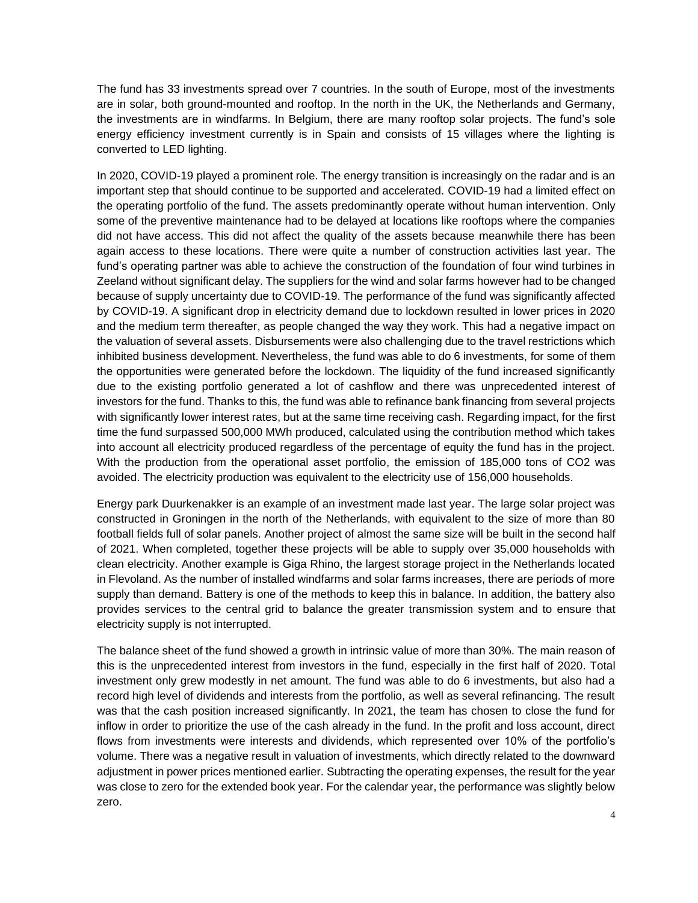The fund has 33 investments spread over 7 countries. In the south of Europe, most of the investments are in solar, both ground-mounted and rooftop. In the north in the UK, the Netherlands and Germany, the investments are in windfarms. In Belgium, there are many rooftop solar projects. The fund's sole energy efficiency investment currently is in Spain and consists of 15 villages where the lighting is converted to LED lighting.

In 2020, COVID-19 played a prominent role. The energy transition is increasingly on the radar and is an important step that should continue to be supported and accelerated. COVID-19 had a limited effect on the operating portfolio of the fund. The assets predominantly operate without human intervention. Only some of the preventive maintenance had to be delayed at locations like rooftops where the companies did not have access. This did not affect the quality of the assets because meanwhile there has been again access to these locations. There were quite a number of construction activities last year. The fund's operating partner was able to achieve the construction of the foundation of four wind turbines in Zeeland without significant delay. The suppliers for the wind and solar farms however had to be changed because of supply uncertainty due to COVID-19. The performance of the fund was significantly affected by COVID-19. A significant drop in electricity demand due to lockdown resulted in lower prices in 2020 and the medium term thereafter, as people changed the way they work. This had a negative impact on the valuation of several assets. Disbursements were also challenging due to the travel restrictions which inhibited business development. Nevertheless, the fund was able to do 6 investments, for some of them the opportunities were generated before the lockdown. The liquidity of the fund increased significantly due to the existing portfolio generated a lot of cashflow and there was unprecedented interest of investors for the fund. Thanks to this, the fund was able to refinance bank financing from several projects with significantly lower interest rates, but at the same time receiving cash. Regarding impact, for the first time the fund surpassed 500,000 MWh produced, calculated using the contribution method which takes into account all electricity produced regardless of the percentage of equity the fund has in the project. With the production from the operational asset portfolio, the emission of 185,000 tons of CO2 was avoided. The electricity production was equivalent to the electricity use of 156,000 households.

Energy park Duurkenakker is an example of an investment made last year. The large solar project was constructed in Groningen in the north of the Netherlands, with equivalent to the size of more than 80 football fields full of solar panels. Another project of almost the same size will be built in the second half of 2021. When completed, together these projects will be able to supply over 35,000 households with clean electricity. Another example is Giga Rhino, the largest storage project in the Netherlands located in Flevoland. As the number of installed windfarms and solar farms increases, there are periods of more supply than demand. Battery is one of the methods to keep this in balance. In addition, the battery also provides services to the central grid to balance the greater transmission system and to ensure that electricity supply is not interrupted.

The balance sheet of the fund showed a growth in intrinsic value of more than 30%. The main reason of this is the unprecedented interest from investors in the fund, especially in the first half of 2020. Total investment only grew modestly in net amount. The fund was able to do 6 investments, but also had a record high level of dividends and interests from the portfolio, as well as several refinancing. The result was that the cash position increased significantly. In 2021, the team has chosen to close the fund for inflow in order to prioritize the use of the cash already in the fund. In the profit and loss account, direct flows from investments were interests and dividends, which represented over 10% of the portfolio's volume. There was a negative result in valuation of investments, which directly related to the downward adjustment in power prices mentioned earlier. Subtracting the operating expenses, the result for the year was close to zero for the extended book year. For the calendar year, the performance was slightly below zero.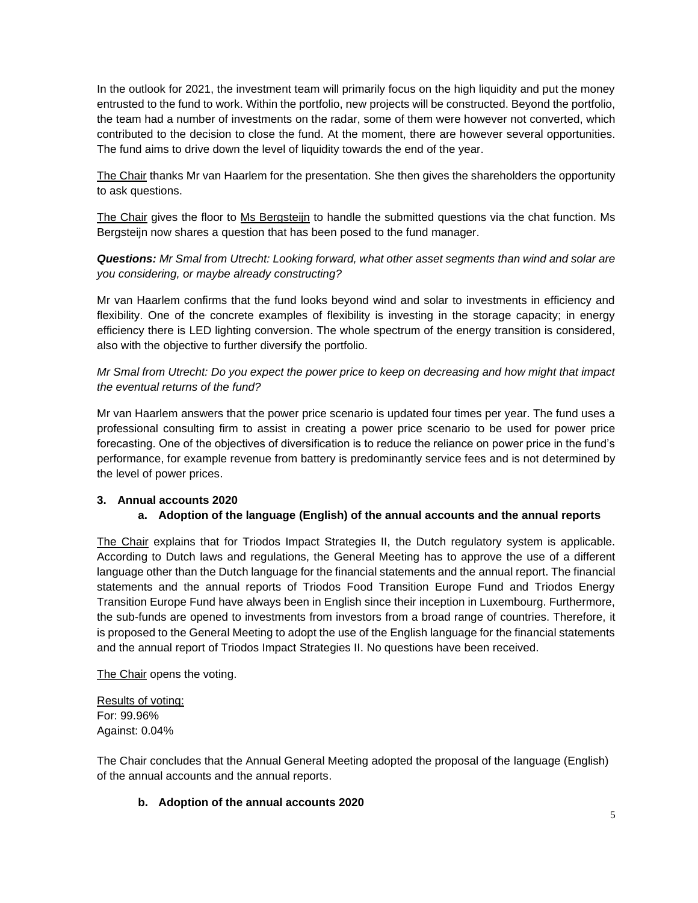In the outlook for 2021, the investment team will primarily focus on the high liquidity and put the money entrusted to the fund to work. Within the portfolio, new projects will be constructed. Beyond the portfolio, the team had a number of investments on the radar, some of them were however not converted, which contributed to the decision to close the fund. At the moment, there are however several opportunities. The fund aims to drive down the level of liquidity towards the end of the year.

The Chair thanks Mr van Haarlem for the presentation. She then gives the shareholders the opportunity to ask questions.

The Chair gives the floor to Ms Bergsteijn to handle the submitted questions via the chat function. Ms Bergsteijn now shares a question that has been posed to the fund manager.

*Questions: Mr Smal from Utrecht: Looking forward, what other asset segments than wind and solar are you considering, or maybe already constructing?*

Mr van Haarlem confirms that the fund looks beyond wind and solar to investments in efficiency and flexibility. One of the concrete examples of flexibility is investing in the storage capacity; in energy efficiency there is LED lighting conversion. The whole spectrum of the energy transition is considered, also with the objective to further diversify the portfolio.

*Mr Smal from Utrecht: Do you expect the power price to keep on decreasing and how might that impact the eventual returns of the fund?*

Mr van Haarlem answers that the power price scenario is updated four times per year. The fund uses a professional consulting firm to assist in creating a power price scenario to be used for power price forecasting. One of the objectives of diversification is to reduce the reliance on power price in the fund's performance, for example revenue from battery is predominantly service fees and is not determined by the level of power prices.

## **3. Annual accounts 2020**

## **a. Adoption of the language (English) of the annual accounts and the annual reports**

The Chair explains that for Triodos Impact Strategies II, the Dutch regulatory system is applicable. According to Dutch laws and regulations, the General Meeting has to approve the use of a different language other than the Dutch language for the financial statements and the annual report. The financial statements and the annual reports of Triodos Food Transition Europe Fund and Triodos Energy Transition Europe Fund have always been in English since their inception in Luxembourg. Furthermore, the sub-funds are opened to investments from investors from a broad range of countries. Therefore, it is proposed to the General Meeting to adopt the use of the English language for the financial statements and the annual report of Triodos Impact Strategies II. No questions have been received.

The Chair opens the voting.

Results of voting: For: 99.96% Against: 0.04%

The Chair concludes that the Annual General Meeting adopted the proposal of the language (English) of the annual accounts and the annual reports.

## **b. Adoption of the annual accounts 2020**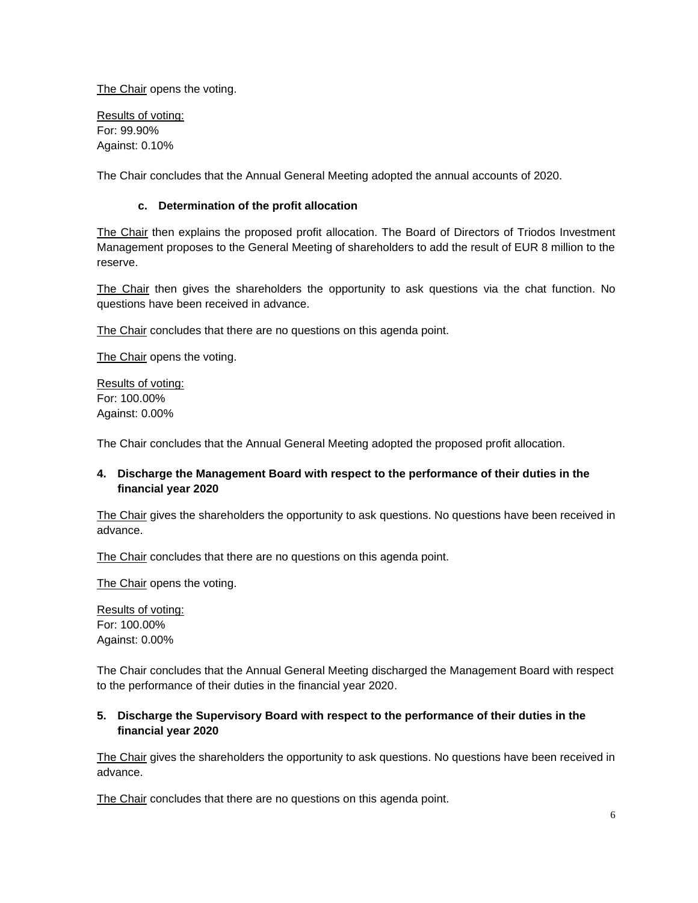The Chair opens the voting.

Results of voting: For: 99.90% Against: 0.10%

The Chair concludes that the Annual General Meeting adopted the annual accounts of 2020.

## **c. Determination of the profit allocation**

The Chair then explains the proposed profit allocation. The Board of Directors of Triodos Investment Management proposes to the General Meeting of shareholders to add the result of EUR 8 million to the reserve.

The Chair then gives the shareholders the opportunity to ask questions via the chat function. No questions have been received in advance.

The Chair concludes that there are no questions on this agenda point.

The Chair opens the voting.

Results of voting: For: 100.00% Against: 0.00%

The Chair concludes that the Annual General Meeting adopted the proposed profit allocation.

## **4. Discharge the Management Board with respect to the performance of their duties in the financial year 2020**

The Chair gives the shareholders the opportunity to ask questions. No questions have been received in advance.

The Chair concludes that there are no questions on this agenda point.

The Chair opens the voting.

Results of voting: For: 100.00% Against: 0.00%

The Chair concludes that the Annual General Meeting discharged the Management Board with respect to the performance of their duties in the financial year 2020.

# **5. Discharge the Supervisory Board with respect to the performance of their duties in the financial year 2020**

The Chair gives the shareholders the opportunity to ask questions. No questions have been received in advance.

The Chair concludes that there are no questions on this agenda point.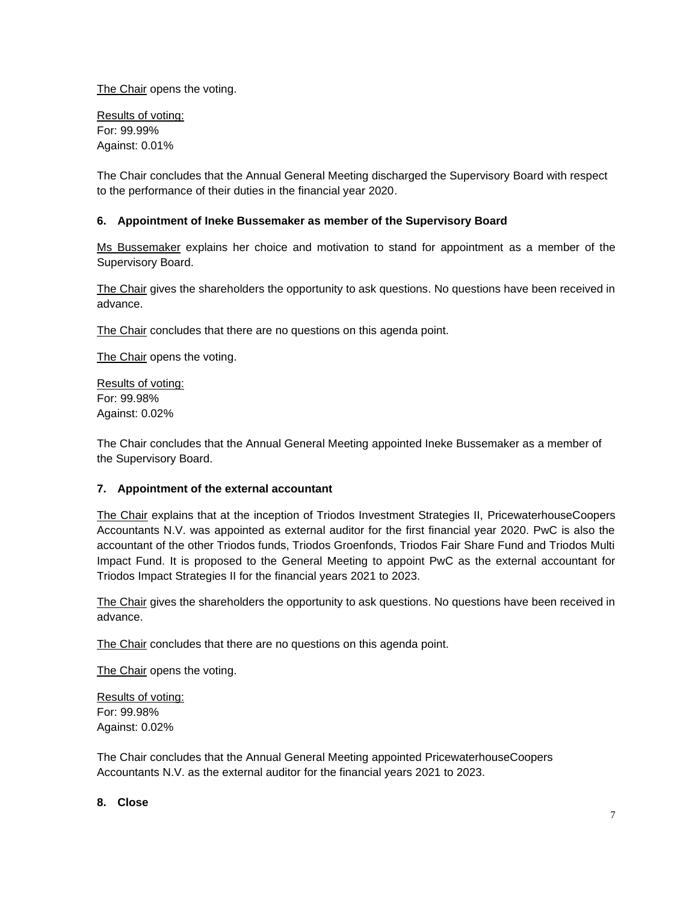The Chair opens the voting.

Results of voting: For: 99.99% Against: 0.01%

The Chair concludes that the Annual General Meeting discharged the Supervisory Board with respect to the performance of their duties in the financial year 2020.

## **6. Appointment of Ineke Bussemaker as member of the Supervisory Board**

Ms Bussemaker explains her choice and motivation to stand for appointment as a member of the Supervisory Board.

The Chair gives the shareholders the opportunity to ask questions. No questions have been received in advance.

The Chair concludes that there are no questions on this agenda point.

The Chair opens the voting.

Results of voting: For: 99.98% Against: 0.02%

The Chair concludes that the Annual General Meeting appointed Ineke Bussemaker as a member of the Supervisory Board.

#### **7. Appointment of the external accountant**

The Chair explains that at the inception of Triodos Investment Strategies II, PricewaterhouseCoopers Accountants N.V. was appointed as external auditor for the first financial year 2020. PwC is also the accountant of the other Triodos funds, Triodos Groenfonds, Triodos Fair Share Fund and Triodos Multi Impact Fund. It is proposed to the General Meeting to appoint PwC as the external accountant for Triodos Impact Strategies II for the financial years 2021 to 2023.

The Chair gives the shareholders the opportunity to ask questions. No questions have been received in advance.

The Chair concludes that there are no questions on this agenda point.

The Chair opens the voting.

Results of voting: For: 99.98% Against: 0.02%

The Chair concludes that the Annual General Meeting appointed PricewaterhouseCoopers Accountants N.V. as the external auditor for the financial years 2021 to 2023.

### **8. Close**